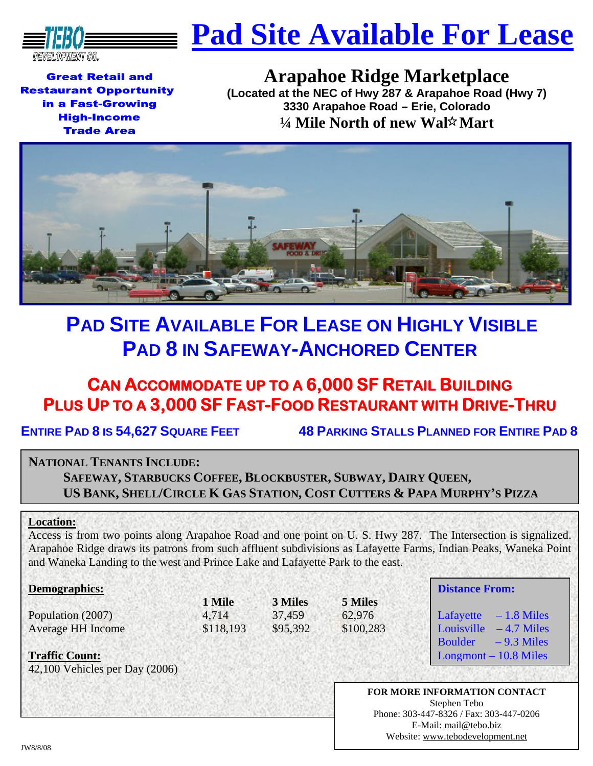

# **Pad Site Available For Lease**

**Great Retail and Restaurant Opportunity** in a Fast-Growing **High-Income Trade Area** 

# **Arapahoe Ridge Marketplace**

**(Located at the NEC of Hwy 287 & Arapahoe Road (Hwy 7) 3330 Arapahoe Road – Erie, Colorado**  *V***<sub>4</sub> Mile North of new Wal** $\hat{x}$  **Mart** 



# **PAD SITE AVAILABLE FOR LEASE ON HIGHLY VISIBLE PAD 8 IN SAFEWAY-ANCHORED CENTER**

## **CAN ACCOMMODATE UP TO A 6,000 SF RETAIL BUILDING PLUS UP TO A 3,000 SF FAST-FOOD RESTAURANT WITH DRIVE-THRU**

**ENTIRE PAD 8 IS 54,627 SQUARE FEET 48 PARKING STALLS PLANNED FOR ENTIRE PAD 8** 

### **NATIONAL TENANTS INCLUDE:**

**SAFEWAY, STARBUCKS COFFEE, BLOCKBUSTER, SUBWAY, DAIRY QUEEN, US BANK, SHELL/CIRCLE K GAS STATION, COST CUTTERS & PAPA MURPHY'S PIZZA**

### **Location:**

Access is from two points along Arapahoe Road and one point on U. S. Hwy 287. The Intersection is signalized. Arapahoe Ridge draws its patrons from such affluent subdivisions as Lafayette Farms, Indian Peaks, Waneka Point and Waneka Landing to the west and Prince Lake and Lafayette Park to the east.

#### **Demographics:**

Population (2007) 4,714 37,459 62,976 Average HH Income \$118,193 \$95,392 \$100,283

**1 Mile 3 Miles 5 Miles** 

### **Distance From:**

Lafayette  $-1.8$  Miles Louisville  $-4.7$  Miles Boulder  $-9.3$  Miles Longmont – 10.8 Miles

**Traffic Count:**

42,100 Vehicles per Day (2006)

**FOR MORE INFORMATION CONTACT**  Stephen Tebo Phone: 303-447-8326 / Fax: 303-447-0206 E-Mail: mail@tebo.biz Website: www.tebodevelopment.net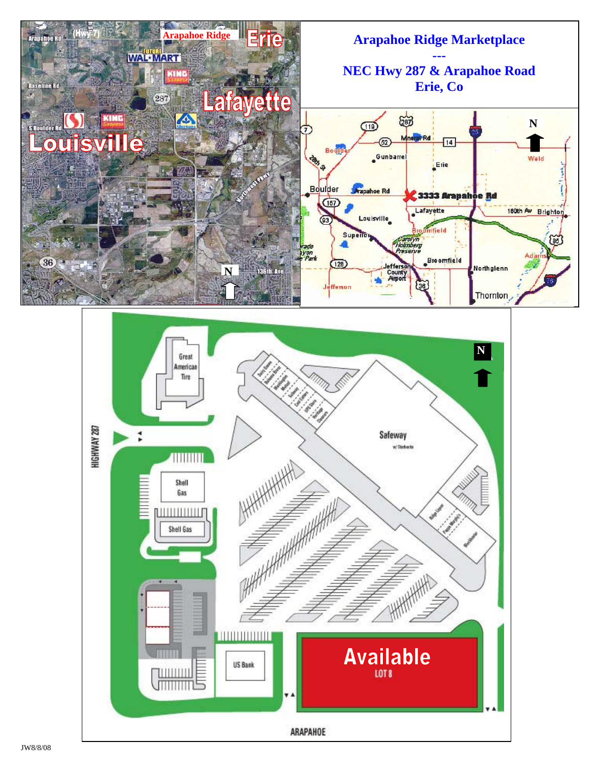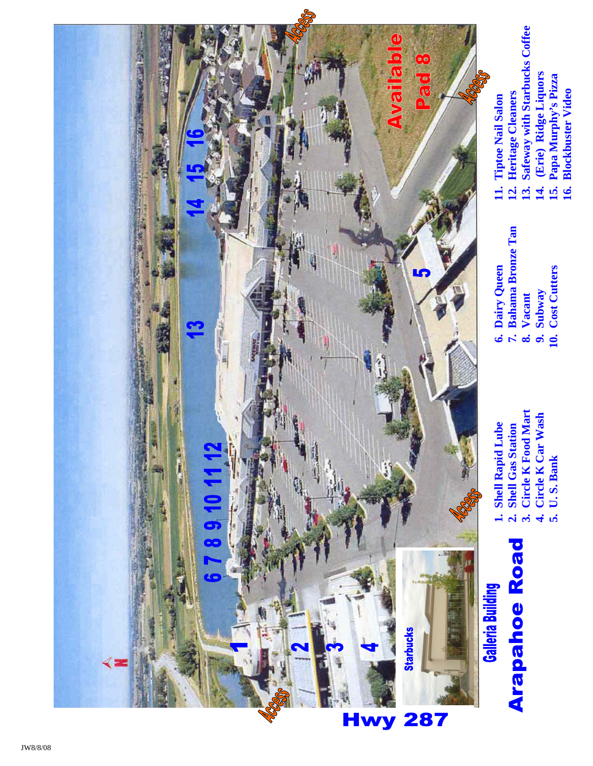

- Arapahoe Road
- 1. Shell Rapid Lube **1. Shell Rapid Lube**

 **6. Dairy Queen** 

**11. Tiptoe Nail Salon 12. Heritage Cleaners** 

12. Heritage Cleaners

**13. Safeway with Starbucks Coffee** 

13. Safeway with Starbucks Coffee

**14. (Erie) Ridge Liquors** 

14. (Erie) Ridge Liquors

 **7. Bahama Bronze Tan** 

7. Bahama Bronze Tan

 **8. Vacant 9. Subway 10. Cost Cutters** 

8. Vacant

9. Subway<br>10. Cost Cutters

- **2. Shell Gas Station**
- 2. Shell Gas Station<br>3. Circle K Food Mart
- **3. Circle K Food Mart**
- **4. Circle K Car Wash**  4. Circle K Car Wash
	- 5. U.S. Bank **5. U. S. Bank**
- 
- **15. Papa Murphy's Pizza**  15. Papa Murphy's Pizza
	- **Blockbuster Video 16. Blockbuster Video** <u>16.</u>

JW8/8/08